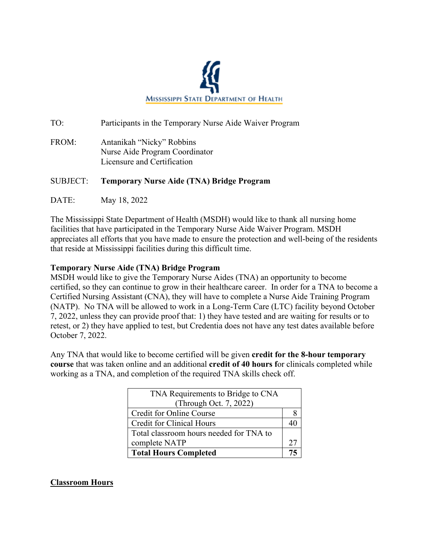

TO: Participants in the Temporary Nurse Aide Waiver Program

FROM: Antanikah "Nicky" Robbins Nurse Aide Program Coordinator Licensure and Certification

## SUBJECT: **Temporary Nurse Aide (TNA) Bridge Program**

DATE: May 18, 2022

The Mississippi State Department of Health (MSDH) would like to thank all nursing home facilities that have participated in the Temporary Nurse Aide Waiver Program. MSDH appreciates all efforts that you have made to ensure the protection and well-being of the residents that reside at Mississippi facilities during this difficult time.

## **Temporary Nurse Aide (TNA) Bridge Program**

MSDH would like to give the Temporary Nurse Aides (TNA) an opportunity to become certified, so they can continue to grow in their healthcare career. In order for a TNA to become a Certified Nursing Assistant (CNA), they will have to complete a Nurse Aide Training Program (NATP). No TNA will be allowed to work in a Long-Term Care (LTC) facility beyond October 7, 2022, unless they can provide proof that: 1) they have tested and are waiting for results or to retest, or 2) they have applied to test, but Credentia does not have any test dates available before October 7, 2022.

Any TNA that would like to become certified will be given **credit for the 8-hour temporary course** that was taken online and an additional **credit of 40 hours f**or clinicals completed while working as a TNA, and completion of the required TNA skills check off.

| TNA Requirements to Bridge to CNA       |  |
|-----------------------------------------|--|
| (Through Oct. 7, 2022)                  |  |
| Credit for Online Course                |  |
| <b>Credit for Clinical Hours</b>        |  |
| Total classroom hours needed for TNA to |  |
| complete NATP                           |  |
| <b>Total Hours Completed</b>            |  |

# **Classroom Hours**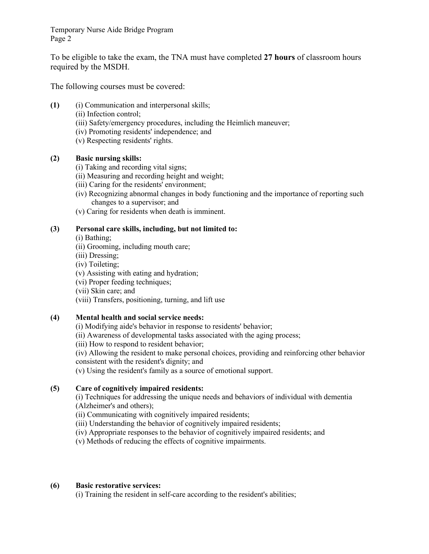Temporary Nurse Aide Bridge Program Page 2

To be eligible to take the exam, the TNA must have completed **27 hours** of classroom hours required by the MSDH.

The following courses must be covered:

- **(1)** (i) Communication and interpersonal skills;
	- (ii) Infection control;
	- (iii) Safety/emergency procedures, including the Heimlich maneuver;
	- (iv) Promoting residents' independence; and
	- (v) Respecting residents' rights.

#### **(2) Basic nursing skills:**

- (i) Taking and recording vital signs;
- (ii) Measuring and recording height and weight;
- (iii) Caring for the residents' environment;
- (iv) Recognizing abnormal changes in body functioning and the importance of reporting such changes to a supervisor; and
- (v) Caring for residents when death is imminent.

#### **(3) Personal care skills, including, but not limited to:**

- (i) Bathing;
- (ii) Grooming, including mouth care;
- (iii) Dressing;
- (iv) Toileting;
- (v) Assisting with eating and hydration;
- (vi) Proper feeding techniques;
- (vii) Skin care; and
- (viii) Transfers, positioning, turning, and lift use

## **(4) Mental health and social service needs:**

(i) Modifying aide's behavior in response to residents' behavior;

- (ii) Awareness of developmental tasks associated with the aging process;
- (iii) How to respond to resident behavior;
- (iv) Allowing the resident to make personal choices, providing and reinforcing other behavior consistent with the resident's dignity; and

(v) Using the resident's family as a source of emotional support.

## **(5) Care of cognitively impaired residents:**

(i) Techniques for addressing the unique needs and behaviors of individual with dementia (Alzheimer's and others);

(ii) Communicating with cognitively impaired residents;

(iii) Understanding the behavior of cognitively impaired residents;

(iv) Appropriate responses to the behavior of cognitively impaired residents; and

(v) Methods of reducing the effects of cognitive impairments.

#### **(6) Basic restorative services:**

(i) Training the resident in self-care according to the resident's abilities;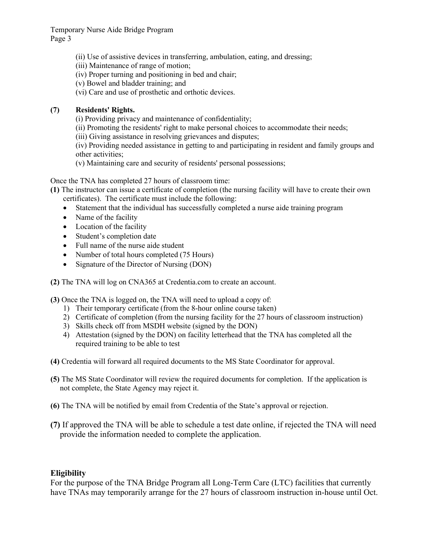Temporary Nurse Aide Bridge Program Page 3

- (ii) Use of assistive devices in transferring, ambulation, eating, and dressing;
- (iii) Maintenance of range of motion;
- (iv) Proper turning and positioning in bed and chair;
- (v) Bowel and bladder training; and
- (vi) Care and use of prosthetic and orthotic devices.

## **(7) Residents' Rights.**

- (i) Providing privacy and maintenance of confidentiality;
- (ii) Promoting the residents' right to make personal choices to accommodate their needs;
- (iii) Giving assistance in resolving grievances and disputes;

(iv) Providing needed assistance in getting to and participating in resident and family groups and other activities;

(v) Maintaining care and security of residents' personal possessions;

Once the TNA has completed 27 hours of classroom time:

- **(1)** The instructor can issue a certificate of completion (the nursing facility will have to create their own certificates). The certificate must include the following:
	- Statement that the individual has successfully completed a nurse aide training program
	- Name of the facility
	- Location of the facility
	- Student's completion date
	- Full name of the nurse aide student
	- Number of total hours completed (75 Hours)
	- Signature of the Director of Nursing (DON)
- **(2)** The TNA will log on CNA365 at Credentia.com to create an account.

**(3)** Once the TNA is logged on, the TNA will need to upload a copy of:

- 1) Their temporary certificate (from the 8-hour online course taken)
- 2) Certificate of completion (from the nursing facility for the 27 hours of classroom instruction)
- 3) Skills check off from MSDH website (signed by the DON)
- 4) Attestation (signed by the DON) on facility letterhead that the TNA has completed all the required training to be able to test
- **(4)** Credentia will forward all required documents to the MS State Coordinator for approval.
- **(5)** The MS State Coordinator will review the required documents for completion. If the application is not complete, the State Agency may reject it.
- **(6)** The TNA will be notified by email from Credentia of the State's approval or rejection.
- **(7)** If approved the TNA will be able to schedule a test date online, if rejected the TNA will need provide the information needed to complete the application.

## **Eligibility**

For the purpose of the TNA Bridge Program all Long-Term Care (LTC) facilities that currently have TNAs may temporarily arrange for the 27 hours of classroom instruction in-house until Oct.